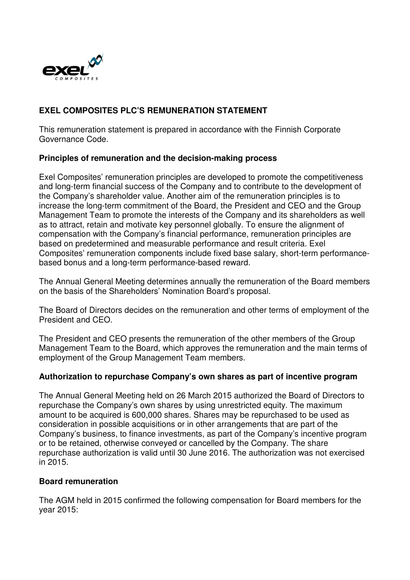

# **EXEL COMPOSITES PLC'S REMUNERATION STATEMENT**

This remuneration statement is prepared in accordance with the Finnish Corporate Governance Code.

#### **Principles of remuneration and the decision-making process**

Exel Composites' remuneration principles are developed to promote the competitiveness and long-term financial success of the Company and to contribute to the development of the Company's shareholder value. Another aim of the remuneration principles is to increase the long-term commitment of the Board, the President and CEO and the Group Management Team to promote the interests of the Company and its shareholders as well as to attract, retain and motivate key personnel globally. To ensure the alignment of compensation with the Company's financial performance, remuneration principles are based on predetermined and measurable performance and result criteria. Exel Composites' remuneration components include fixed base salary, short-term performancebased bonus and a long-term performance-based reward.

The Annual General Meeting determines annually the remuneration of the Board members on the basis of the Shareholders' Nomination Board's proposal.

The Board of Directors decides on the remuneration and other terms of employment of the President and CEO.

The President and CEO presents the remuneration of the other members of the Group Management Team to the Board, which approves the remuneration and the main terms of employment of the Group Management Team members.

#### **Authorization to repurchase Company's own shares as part of incentive program**

The Annual General Meeting held on 26 March 2015 authorized the Board of Directors to repurchase the Company's own shares by using unrestricted equity. The maximum amount to be acquired is 600,000 shares. Shares may be repurchased to be used as consideration in possible acquisitions or in other arrangements that are part of the Company's business, to finance investments, as part of the Company's incentive program or to be retained, otherwise conveyed or cancelled by the Company. The share repurchase authorization is valid until 30 June 2016. The authorization was not exercised in 2015.

#### **Board remuneration**

The AGM held in 2015 confirmed the following compensation for Board members for the year 2015: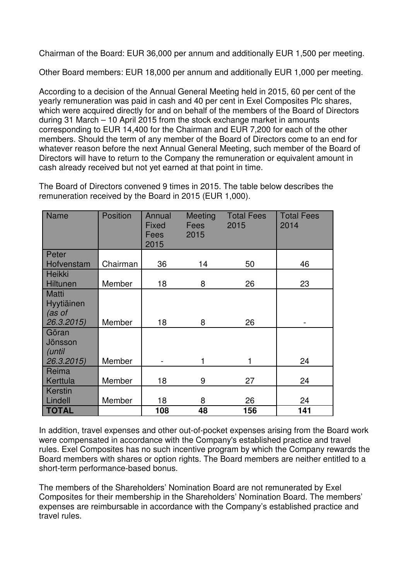Chairman of the Board: EUR 36,000 per annum and additionally EUR 1,500 per meeting.

Other Board members: EUR 18,000 per annum and additionally EUR 1,000 per meeting.

According to a decision of the Annual General Meeting held in 2015, 60 per cent of the yearly remuneration was paid in cash and 40 per cent in Exel Composites Plc shares, which were acquired directly for and on behalf of the members of the Board of Directors during 31 March – 10 April 2015 from the stock exchange market in amounts corresponding to EUR 14,400 for the Chairman and EUR 7,200 for each of the other members. Should the term of any member of the Board of Directors come to an end for whatever reason before the next Annual General Meeting, such member of the Board of Directors will have to return to the Company the remuneration or equivalent amount in cash already received but not yet earned at that point in time.

The Board of Directors convened 9 times in 2015. The table below describes the remuneration received by the Board in 2015 (EUR 1,000).

| <b>Name</b>                                        | <b>Position</b> | Annual<br><b>Fixed</b><br>Fees<br>2015 | Meeting<br><b>Fees</b><br>2015 | <b>Total Fees</b><br>2015 | <b>Total Fees</b><br>2014 |
|----------------------------------------------------|-----------------|----------------------------------------|--------------------------------|---------------------------|---------------------------|
| Peter                                              |                 |                                        |                                |                           |                           |
| Hofvenstam                                         | Chairman        | 36                                     | 14                             | 50                        | 46                        |
| <b>Heikki</b><br><b>Hiltunen</b>                   | Member          | 18                                     | 8                              | 26                        | 23                        |
| <b>Matti</b><br>Hyytiäinen<br>(as of<br>26.3.2015) | Member          | 18                                     | 8                              | 26                        |                           |
| Göran<br>Jönsson<br>(until<br>26.3.2015)           | Member          |                                        |                                | 1                         | 24                        |
| Reima<br>Kerttula                                  | Member          | 18                                     | 9                              | 27                        | 24                        |
| Kerstin<br>Lindell                                 | Member          | 18                                     | 8                              | 26                        | 24                        |
| <b>TOTAL</b>                                       |                 | 108                                    | 48                             | 156                       | 141                       |

In addition, travel expenses and other out-of-pocket expenses arising from the Board work were compensated in accordance with the Company's established practice and travel rules. Exel Composites has no such incentive program by which the Company rewards the Board members with shares or option rights. The Board members are neither entitled to a short-term performance-based bonus.

The members of the Shareholders' Nomination Board are not remunerated by Exel Composites for their membership in the Shareholders' Nomination Board. The members' expenses are reimbursable in accordance with the Company's established practice and travel rules.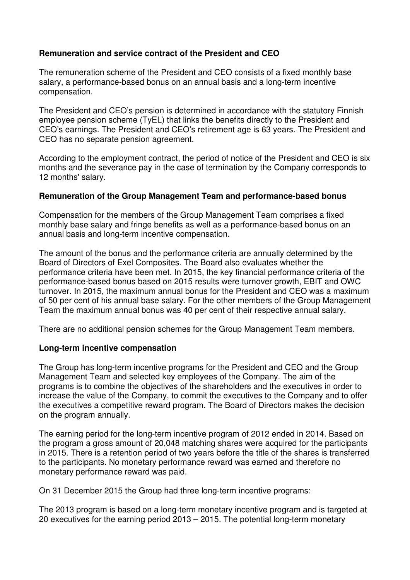## **Remuneration and service contract of the President and CEO**

The remuneration scheme of the President and CEO consists of a fixed monthly base salary, a performance-based bonus on an annual basis and a long-term incentive compensation.

The President and CEO's pension is determined in accordance with the statutory Finnish employee pension scheme (TyEL) that links the benefits directly to the President and CEO's earnings. The President and CEO's retirement age is 63 years. The President and CEO has no separate pension agreement.

According to the employment contract, the period of notice of the President and CEO is six months and the severance pay in the case of termination by the Company corresponds to 12 months' salary.

### **Remuneration of the Group Management Team and performance-based bonus**

Compensation for the members of the Group Management Team comprises a fixed monthly base salary and fringe benefits as well as a performance-based bonus on an annual basis and long-term incentive compensation.

The amount of the bonus and the performance criteria are annually determined by the Board of Directors of Exel Composites. The Board also evaluates whether the performance criteria have been met. In 2015, the key financial performance criteria of the performance-based bonus based on 2015 results were turnover growth, EBIT and OWC turnover. In 2015, the maximum annual bonus for the President and CEO was a maximum of 50 per cent of his annual base salary. For the other members of the Group Management Team the maximum annual bonus was 40 per cent of their respective annual salary.

There are no additional pension schemes for the Group Management Team members.

## **Long-term incentive compensation**

The Group has long-term incentive programs for the President and CEO and the Group Management Team and selected key employees of the Company. The aim of the programs is to combine the objectives of the shareholders and the executives in order to increase the value of the Company, to commit the executives to the Company and to offer the executives a competitive reward program. The Board of Directors makes the decision on the program annually.

The earning period for the long-term incentive program of 2012 ended in 2014. Based on the program a gross amount of 20,048 matching shares were acquired for the participants in 2015. There is a retention period of two years before the title of the shares is transferred to the participants. No monetary performance reward was earned and therefore no monetary performance reward was paid.

On 31 December 2015 the Group had three long-term incentive programs:

The 2013 program is based on a long-term monetary incentive program and is targeted at 20 executives for the earning period 2013 – 2015. The potential long-term monetary